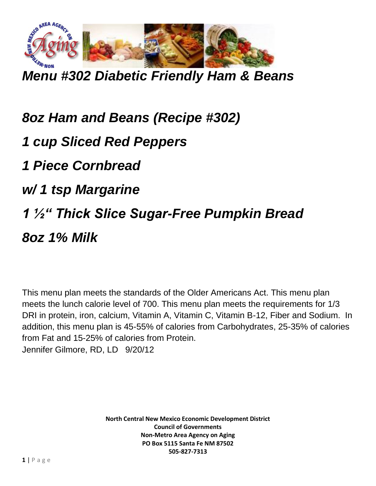

*Menu #302 Diabetic Friendly Ham & Beans*

*8oz Ham and Beans (Recipe #302) 1 cup Sliced Red Peppers 1 Piece Cornbread w/ 1 tsp Margarine 1 ½" Thick Slice Sugar-Free Pumpkin Bread 8oz 1% Milk*

This menu plan meets the standards of the Older Americans Act. This menu plan meets the lunch calorie level of 700. This menu plan meets the requirements for 1/3 DRI in protein, iron, calcium, Vitamin A, Vitamin C, Vitamin B-12, Fiber and Sodium. In addition, this menu plan is 45-55% of calories from Carbohydrates, 25-35% of calories from Fat and 15-25% of calories from Protein. Jennifer Gilmore, RD, LD 9/20/12

> **North Central New Mexico Economic Development District Council of Governments Non-Metro Area Agency on Aging PO Box 5115 Santa Fe NM 87502 505-827-7313**